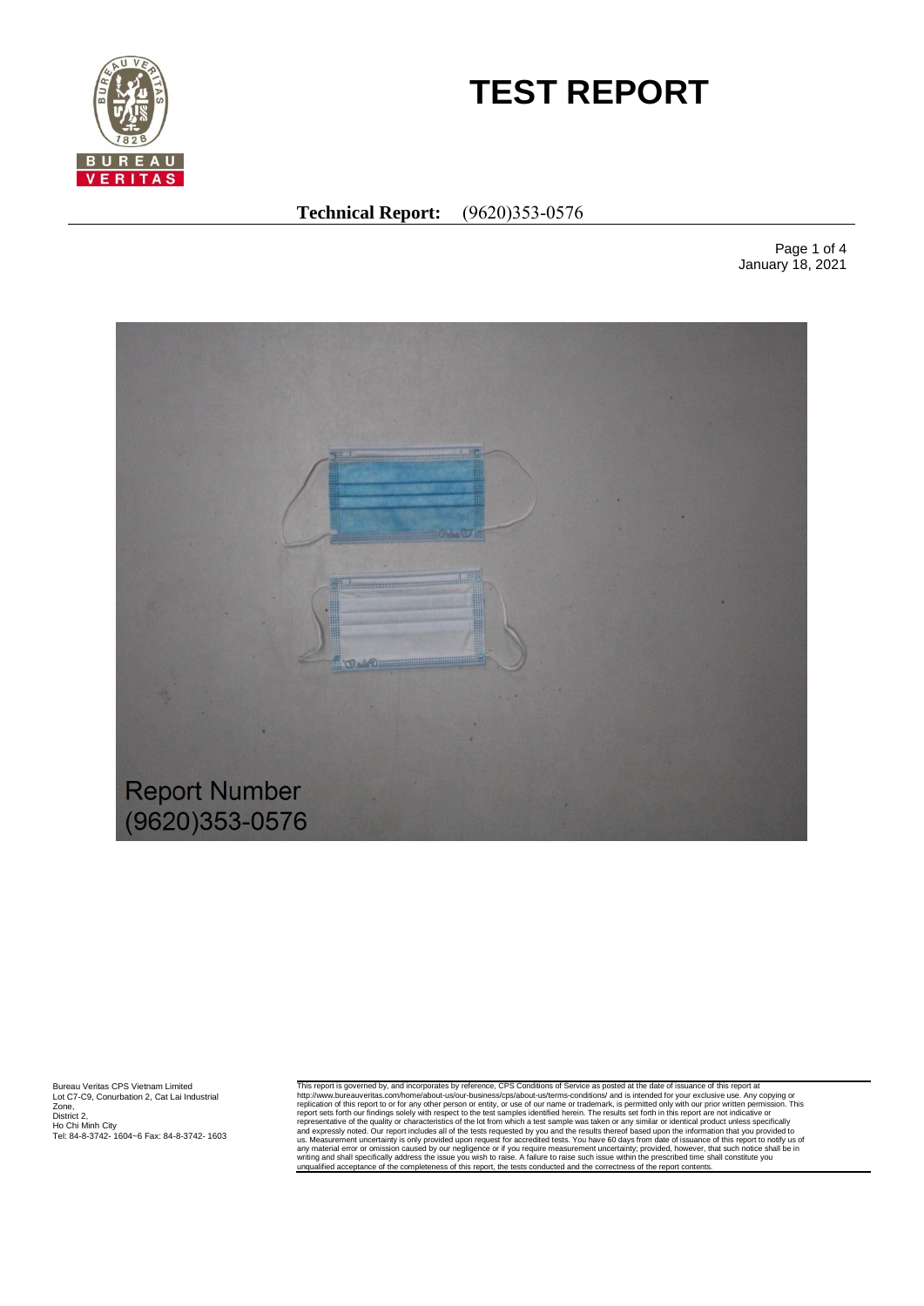

# **TEST REPORT**

# **Technical Report:** (9620)353-0576

Page 1 of 4 January 18, 2021



Bureau Veritas CPS Vietnam Limited Lot C7-C9, Conurbation 2, Cat Lai Industrial Zone, District 2, Ho Chi Minh City Tel: 84-8-3742- 1604~6 Fax: 84-8-3742- 1603 This report is governed by, and incorporates by reference, CPS Conditions of Service as posted at the date of issuance of this report interports of the service as a posted at the date of issuance of this report to or for a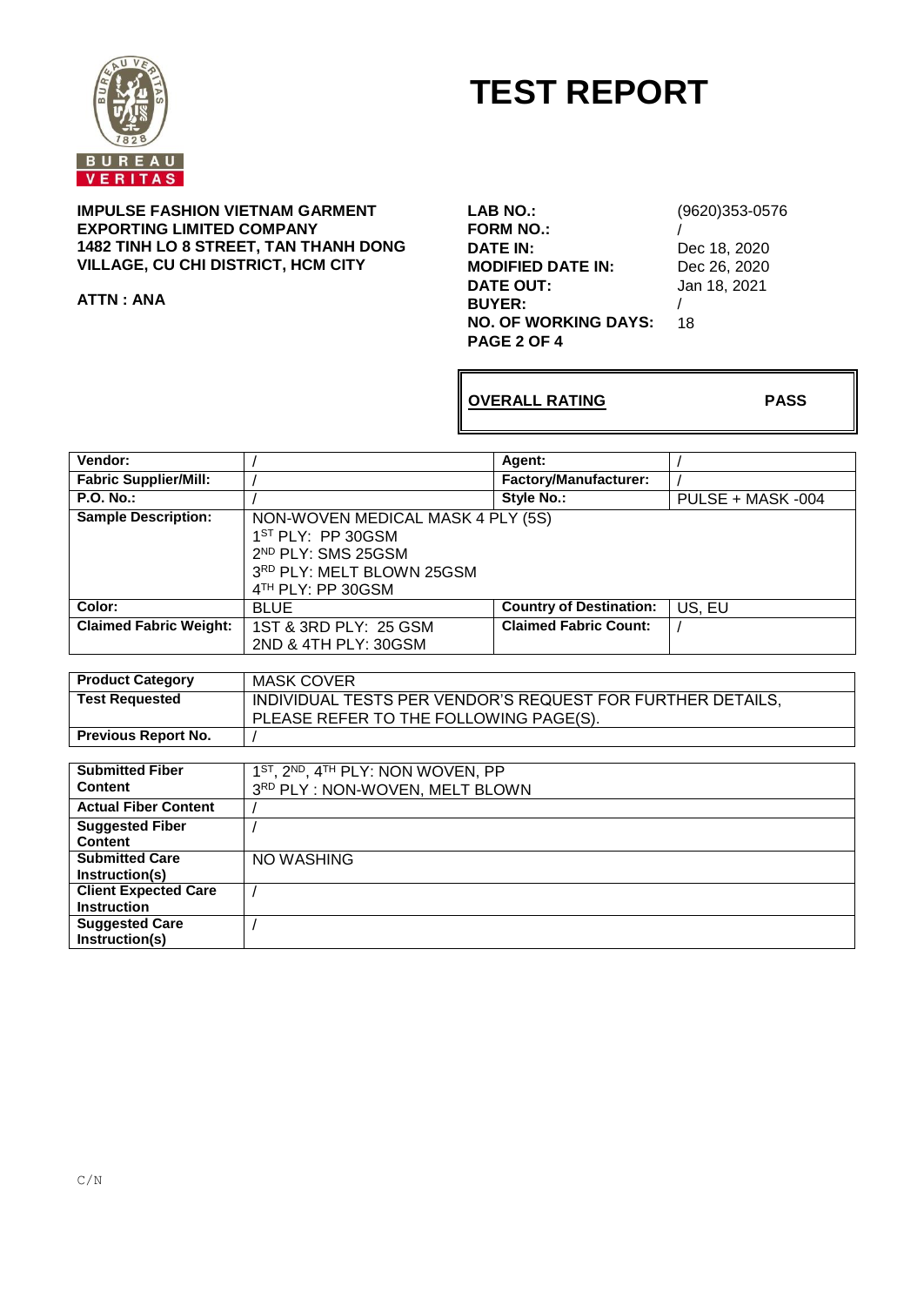

# **TEST REPORT**

**IMPULSE FASHION VIETNAM GARMENT EXPORTING LIMITED COMPANY 1482 TINH LO 8 STREET, TAN THANH DONG VILLAGE, CU CHI DISTRICT, HCM CITY**

**ATTN : ANA**

**LAB NO.:** (9620)353-0576 **FORM NO.:** / **MODIFIED DATE IN:**<br>DATE OUT: **BUYER:** / **NO. OF WORKING DAYS:** 18 **PAGE 2 OF 4**

Dec 18, 2020<br>Dec 26, 2020 **DATE OUT:** Jan 18, 2021

**OVERALL RATING PASS**

| Vendor:                       |                                                                                                                                               | Agent:                         |                   |
|-------------------------------|-----------------------------------------------------------------------------------------------------------------------------------------------|--------------------------------|-------------------|
| <b>Fabric Supplier/Mill:</b>  |                                                                                                                                               | <b>Factory/Manufacturer:</b>   |                   |
| <b>P.O. No.:</b>              |                                                                                                                                               | Style No.:                     | PULSE + MASK -004 |
| <b>Sample Description:</b>    | NON-WOVEN MEDICAL MASK 4 PLY (5S)<br>$1ST PLY$ : PP 30GSM<br>2 <sup>ND</sup> PLY: SMS 25GSM<br>3RD PLY: MELT BLOWN 25GSM<br>4TH PLY: PP 30GSM |                                |                   |
| Color:                        | <b>BLUE</b>                                                                                                                                   | <b>Country of Destination:</b> | US, EU            |
| <b>Claimed Fabric Weight:</b> | 1ST & 3RD PLY: 25 GSM<br>2ND & 4TH PLY: 30GSM                                                                                                 | <b>Claimed Fabric Count:</b>   |                   |

| <b>Product Category</b>    | MASK COVER                                                 |
|----------------------------|------------------------------------------------------------|
| <b>Test Requested</b>      | INDIVIDUAL TESTS PER VENDOR'S REQUEST FOR FURTHER DETAILS, |
|                            | PLEASE REFER TO THE FOLLOWING PAGE(S).                     |
| <b>Previous Report No.</b> |                                                            |

| <b>Submitted Fiber</b>      | 1 <sup>ST</sup> , 2 <sup>ND</sup> , 4 <sup>TH</sup> PLY: NON WOVEN, PP |
|-----------------------------|------------------------------------------------------------------------|
| <b>Content</b>              | 3RD PLY: NON-WOVEN, MELT BLOWN                                         |
| <b>Actual Fiber Content</b> |                                                                        |
| <b>Suggested Fiber</b>      |                                                                        |
| Content                     |                                                                        |
| <b>Submitted Care</b>       | NO WASHING                                                             |
| Instruction(s)              |                                                                        |
| <b>Client Expected Care</b> |                                                                        |
| <b>Instruction</b>          |                                                                        |
| <b>Suggested Care</b>       |                                                                        |
| Instruction(s)              |                                                                        |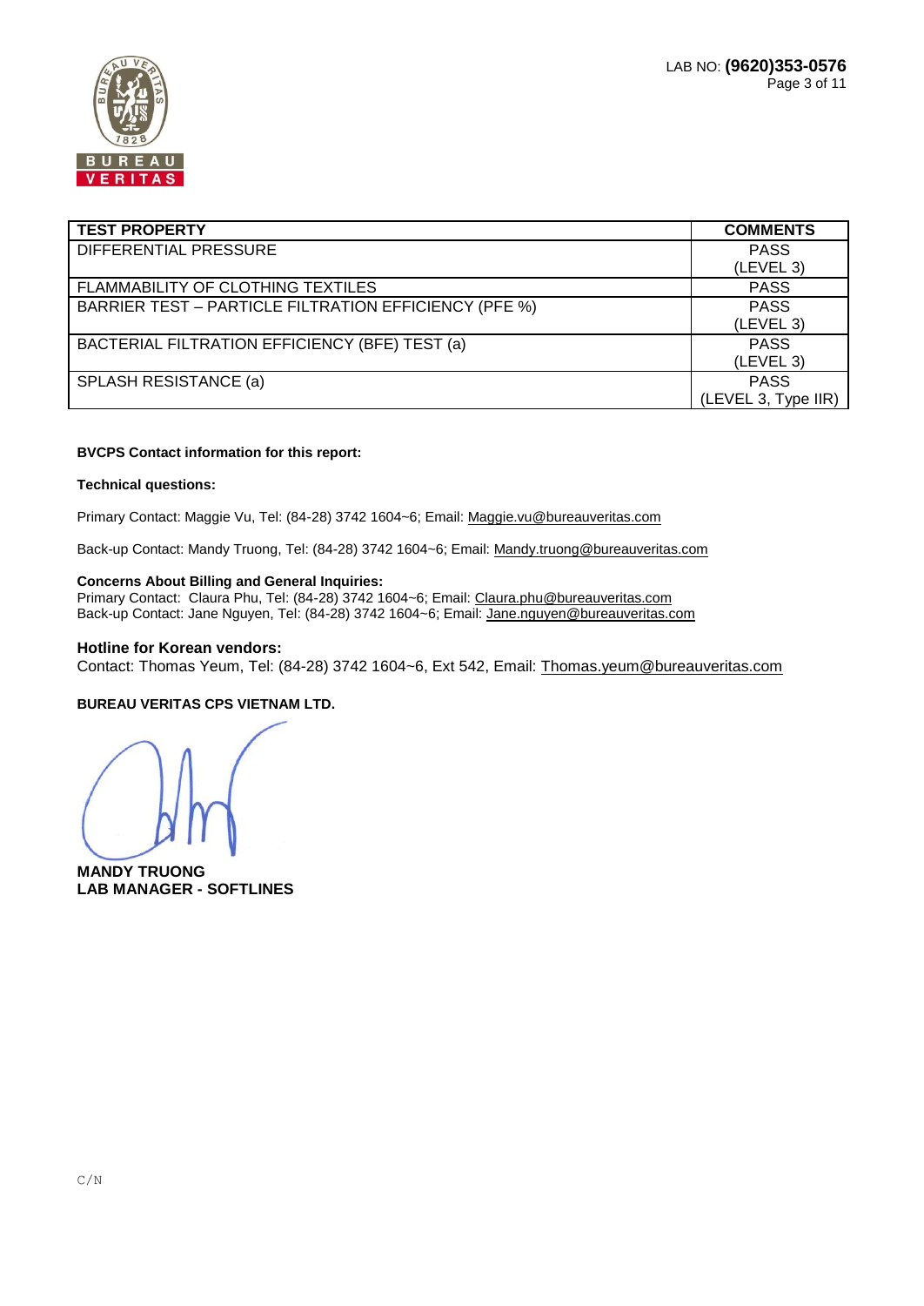

| <b>TEST PROPERTY</b>                                         | <b>COMMENTS</b>     |
|--------------------------------------------------------------|---------------------|
| DIFFERENTIAL PRESSURE                                        | <b>PASS</b>         |
|                                                              | (LEVEL 3)           |
| FLAMMABILITY OF CLOTHING TEXTILES                            | <b>PASS</b>         |
| <b>BARRIER TEST - PARTICLE FILTRATION EFFICIENCY (PFE %)</b> | <b>PASS</b>         |
|                                                              | (LEVEL 3)           |
| BACTERIAL FILTRATION EFFICIENCY (BFE) TEST (a)               | <b>PASS</b>         |
|                                                              | (LEVEL 3)           |
| SPLASH RESISTANCE (a)                                        | <b>PASS</b>         |
|                                                              | (LEVEL 3, Type IIR) |

#### **BVCPS Contact information for this report:**

#### **Technical questions:**

Primary Contact: Maggie Vu, Tel: (84-28) 3742 1604~6; Email[: Maggie.vu@bureauveritas.com](mailto:Maggie.vu@bureauveritas.com)

Back-up Contact: Mandy Truong, Tel: (84-28) 3742 1604~6; Email[: Mandy.truong@bureauveritas.com](mailto:Mandy.truong@bureauveritas.com)

#### **Concerns About Billing and General Inquiries:**

Primary Contact: Claura Phu, Tel: (84-28) 3742 1604~6; Email: [Claura.phu@bureauveritas.com](mailto:Claura.phu@bureauveritas.com) Back-up Contact: Jane Nguyen, Tel: (84-28) 3742 1604~6; Email[: Jane.nguyen@bureauveritas.com](mailto:Jane.nguyen@bureauveritas.com)

#### **Hotline for Korean vendors:**

Contact: Thomas Yeum, Tel: (84-28) 3742 1604~6, Ext 542, Email: [Thomas.yeum@bureauveritas.com](mailto:Thomas.yeum@bureauveritas.com)

#### **BUREAU VERITAS CPS VIETNAM LTD.**

**MANDY TRUONG LAB MANAGER - SOFTLINES**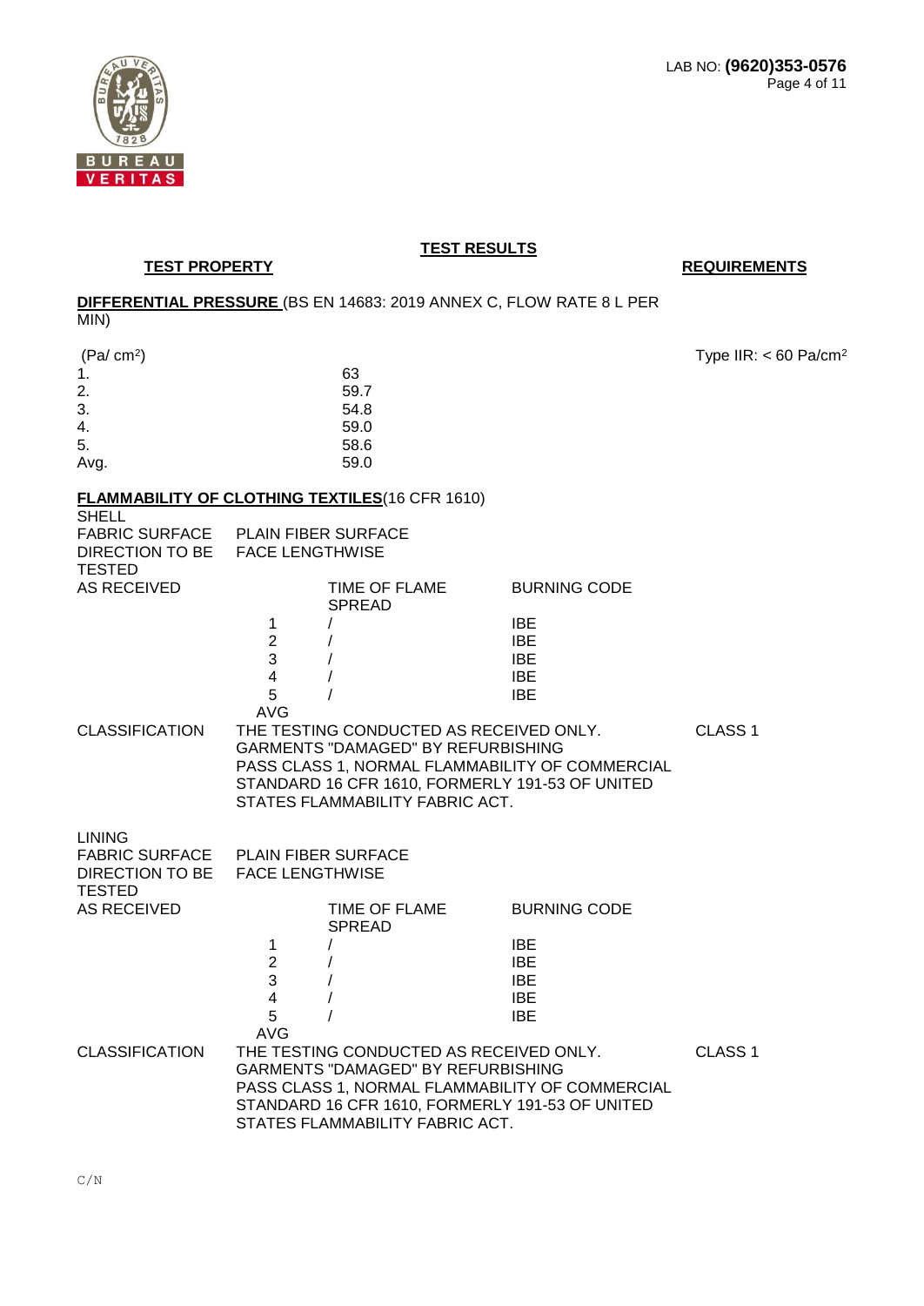

**TEST PROPERTY REQUIREMENTS** 

# **DIFFERENTIAL PRESSURE** (BS EN 14683: 2019 ANNEX C, FLOW RATE 8 L PER

MIN)

| (Pa/cm <sup>2</sup> )                 |                        |                                                        |                                                 | Type IIR: $< 60$ Pa/cm <sup>2</sup> |
|---------------------------------------|------------------------|--------------------------------------------------------|-------------------------------------------------|-------------------------------------|
| 1.                                    |                        | 63                                                     |                                                 |                                     |
| 2.                                    |                        | 59.7                                                   |                                                 |                                     |
| 3.                                    |                        | 54.8                                                   |                                                 |                                     |
| 4.                                    |                        | 59.0                                                   |                                                 |                                     |
| 5.                                    |                        | 58.6                                                   |                                                 |                                     |
| Avg.                                  |                        | 59.0                                                   |                                                 |                                     |
|                                       |                        | <b>FLAMMABILITY OF CLOTHING TEXTILES (16 CFR 1610)</b> |                                                 |                                     |
| <b>SHELL</b><br><b>FABRIC SURFACE</b> |                        | PLAIN FIBER SURFACE                                    |                                                 |                                     |
| DIRECTION TO BE FACE LENGTHWISE       |                        |                                                        |                                                 |                                     |
| <b>TESTED</b>                         |                        |                                                        |                                                 |                                     |
| <b>AS RECEIVED</b>                    |                        | TIME OF FLAME                                          | <b>BURNING CODE</b>                             |                                     |
|                                       |                        | <b>SPREAD</b>                                          |                                                 |                                     |
|                                       | 1                      |                                                        | <b>IBE</b>                                      |                                     |
|                                       | $\overline{2}$         |                                                        | <b>IBE</b>                                      |                                     |
|                                       | 3                      |                                                        | <b>IBE</b>                                      |                                     |
|                                       | 4                      |                                                        | <b>IBE</b>                                      |                                     |
|                                       | 5                      |                                                        | <b>IBE</b>                                      |                                     |
|                                       | <b>AVG</b>             |                                                        |                                                 |                                     |
| <b>CLASSIFICATION</b>                 |                        | THE TESTING CONDUCTED AS RECEIVED ONLY.                |                                                 | CLASS <sub>1</sub>                  |
|                                       |                        | GARMENTS "DAMAGED" BY REFURBISHING                     |                                                 |                                     |
|                                       |                        |                                                        | PASS CLASS 1, NORMAL FLAMMABILITY OF COMMERCIAL |                                     |
|                                       |                        |                                                        | STANDARD 16 CFR 1610, FORMERLY 191-53 OF UNITED |                                     |
|                                       |                        | STATES FLAMMABILITY FABRIC ACT.                        |                                                 |                                     |
|                                       |                        |                                                        |                                                 |                                     |
| <b>LINING</b>                         |                        |                                                        |                                                 |                                     |
| FABRIC SURFACE PLAIN FIBER SURFACE    |                        |                                                        |                                                 |                                     |
| DIRECTION TO BE                       | <b>FACE LENGTHWISE</b> |                                                        |                                                 |                                     |
| <b>TESTED</b>                         |                        |                                                        |                                                 |                                     |
| <b>AS RECEIVED</b>                    |                        | TIME OF FLAME                                          | <b>BURNING CODE</b>                             |                                     |
|                                       |                        | <b>SPREAD</b>                                          |                                                 |                                     |
|                                       | 1                      |                                                        | <b>IBE</b>                                      |                                     |
|                                       | $\overline{2}$         |                                                        | <b>IBE</b>                                      |                                     |
|                                       | 3                      | $\prime$                                               | <b>IBE</b>                                      |                                     |
|                                       |                        |                                                        |                                                 |                                     |
|                                       | 4                      |                                                        | <b>IBE</b>                                      |                                     |
|                                       | 5                      |                                                        | <b>IBE</b>                                      |                                     |
|                                       | <b>AVG</b>             |                                                        |                                                 |                                     |
| <b>CLASSIFICATION</b>                 |                        | THE TESTING CONDUCTED AS RECEIVED ONLY.                |                                                 | CLASS <sub>1</sub>                  |

GARMENTS "DAMAGED" BY REFURBISHING

PASS CLASS 1, NORMAL FLAMMABILITY OF COMMERCIAL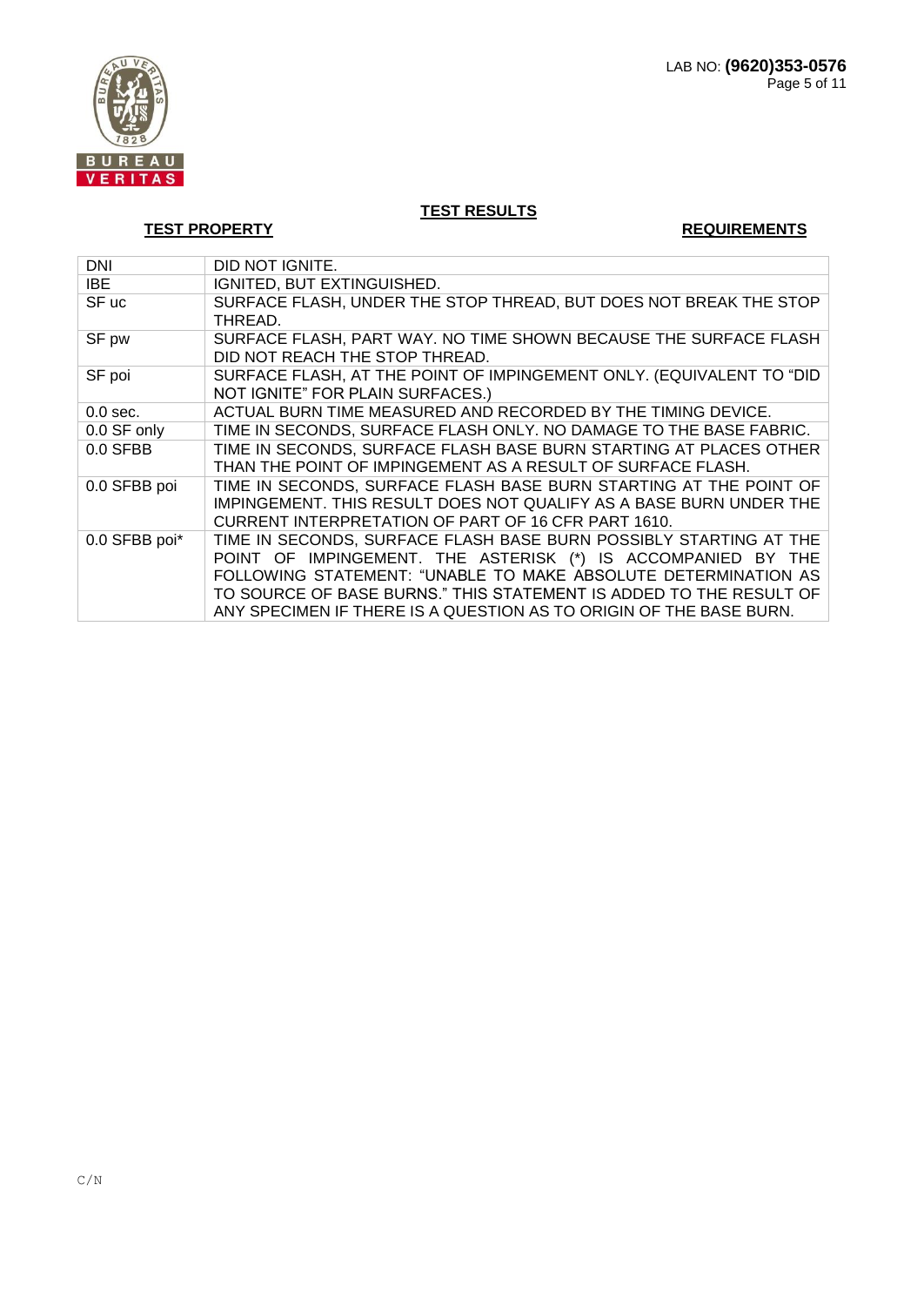

**TEST PROPERTY REQUIREMENTS** 

| <b>DNI</b>    | DID NOT IGNITE.                                                                                                                                                                                                                                                                                                                                 |
|---------------|-------------------------------------------------------------------------------------------------------------------------------------------------------------------------------------------------------------------------------------------------------------------------------------------------------------------------------------------------|
| IBE           | IGNITED, BUT EXTINGUISHED.                                                                                                                                                                                                                                                                                                                      |
| SF uc         | SURFACE FLASH, UNDER THE STOP THREAD, BUT DOES NOT BREAK THE STOP<br>THREAD.                                                                                                                                                                                                                                                                    |
| SF pw         | SURFACE FLASH, PART WAY. NO TIME SHOWN BECAUSE THE SURFACE FLASH<br>DID NOT REACH THE STOP THREAD.                                                                                                                                                                                                                                              |
| SF poi        | SURFACE FLASH, AT THE POINT OF IMPINGEMENT ONLY. (EQUIVALENT TO "DID<br>NOT IGNITE" FOR PLAIN SURFACES.)                                                                                                                                                                                                                                        |
| $0.0$ sec.    | ACTUAL BURN TIME MEASURED AND RECORDED BY THE TIMING DEVICE.                                                                                                                                                                                                                                                                                    |
| 0.0 SF only   | TIME IN SECONDS, SURFACE FLASH ONLY. NO DAMAGE TO THE BASE FABRIC.                                                                                                                                                                                                                                                                              |
| $0.0$ SFBB    | TIME IN SECONDS, SURFACE FLASH BASE BURN STARTING AT PLACES OTHER<br>THAN THE POINT OF IMPINGEMENT AS A RESULT OF SURFACE FLASH.                                                                                                                                                                                                                |
| 0.0 SFBB poi  | TIME IN SECONDS, SURFACE FLASH BASE BURN STARTING AT THE POINT OF<br>IMPINGEMENT. THIS RESULT DOES NOT QUALIFY AS A BASE BURN UNDER THE<br>CURRENT INTERPRETATION OF PART OF 16 CFR PART 1610.                                                                                                                                                  |
| 0.0 SFBB poi* | TIME IN SECONDS, SURFACE FLASH BASE BURN POSSIBLY STARTING AT THE<br>POINT OF IMPINGEMENT. THE ASTERISK (*) IS ACCOMPANIED BY THE<br>FOLLOWING STATEMENT: "UNABLE TO MAKE ABSOLUTE DETERMINATION AS<br>TO SOURCE OF BASE BURNS." THIS STATEMENT IS ADDED TO THE RESULT OF<br>ANY SPECIMEN IF THERE IS A QUESTION AS TO ORIGIN OF THE BASE BURN. |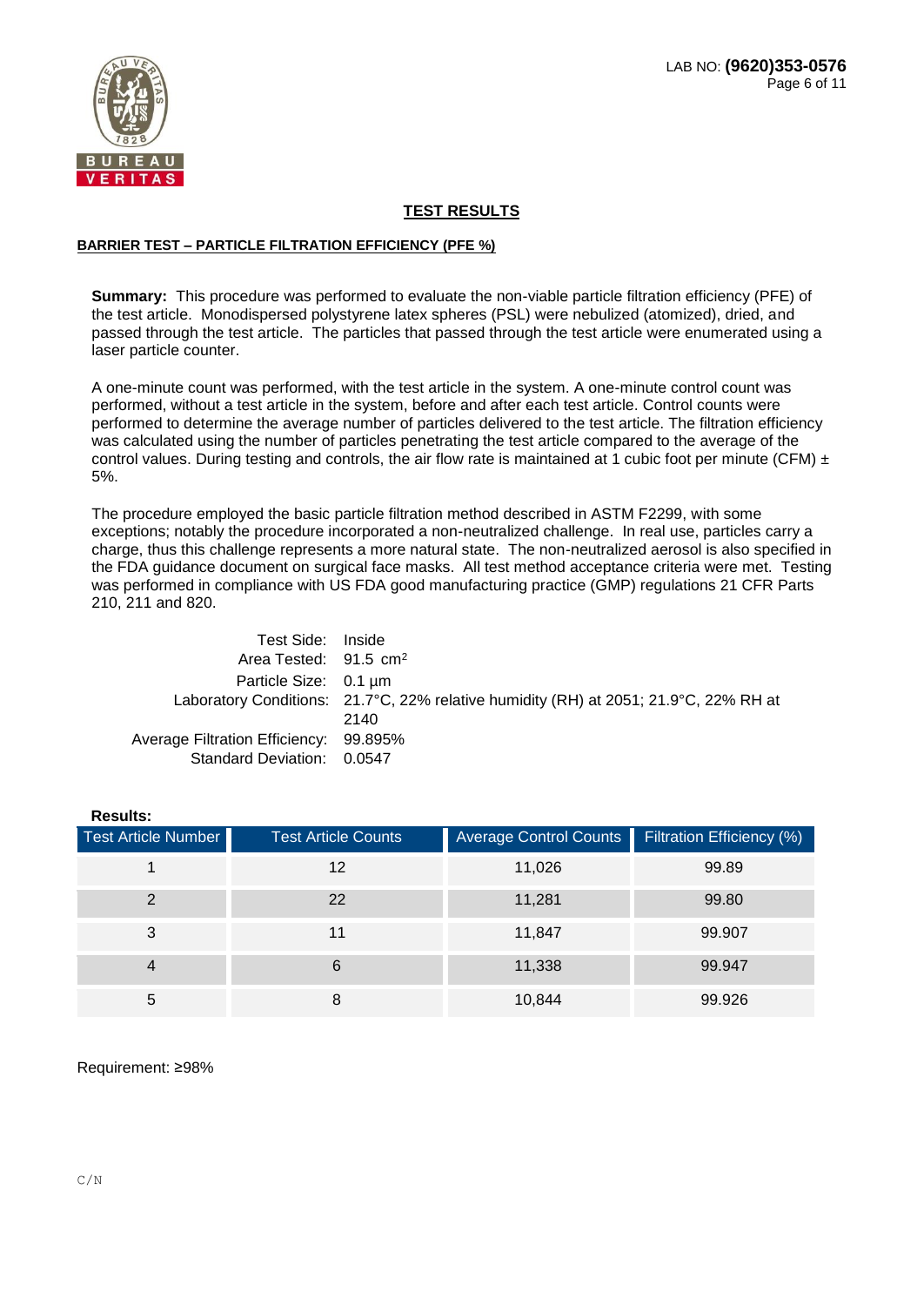

#### **BARRIER TEST – PARTICLE FILTRATION EFFICIENCY (PFE %)**

**Summary:** This procedure was performed to evaluate the non-viable particle filtration efficiency (PFE) of the test article. Monodispersed polystyrene latex spheres (PSL) were nebulized (atomized), dried, and passed through the test article. The particles that passed through the test article were enumerated using a laser particle counter.

A one-minute count was performed, with the test article in the system. A one-minute control count was performed, without a test article in the system, before and after each test article. Control counts were performed to determine the average number of particles delivered to the test article. The filtration efficiency was calculated using the number of particles penetrating the test article compared to the average of the control values. During testing and controls, the air flow rate is maintained at 1 cubic foot per minute (CFM)  $\pm$ 5%.

The procedure employed the basic particle filtration method described in ASTM F2299, with some exceptions; notably the procedure incorporated a non-neutralized challenge. In real use, particles carry a charge, thus this challenge represents a more natural state. The non-neutralized aerosol is also specified in the FDA guidance document on surgical face masks. All test method acceptance criteria were met. Testing was performed in compliance with US FDA good manufacturing practice (GMP) regulations 21 CFR Parts 210, 211 and 820.

| Test Side: Inside                      |                                                                                      |
|----------------------------------------|--------------------------------------------------------------------------------------|
| Area Tested: $91.5 \text{ cm}^2$       |                                                                                      |
| Particle Size: 0.1 um                  |                                                                                      |
|                                        | Laboratory Conditions: 21.7°C, 22% relative humidity (RH) at 2051; 21.9°C, 22% RH at |
|                                        | 2140                                                                                 |
| Average Filtration Efficiency: 99.895% |                                                                                      |
| Standard Deviation: 0.0547             |                                                                                      |

| <b>Results:</b>     |                            |                               |                           |
|---------------------|----------------------------|-------------------------------|---------------------------|
| Test Article Number | <b>Test Article Counts</b> | <b>Average Control Counts</b> | Filtration Efficiency (%) |
|                     | 12                         | 11,026                        | 99.89                     |
| $\mathcal{P}$       | 22                         | 11,281                        | 99.80                     |
| 3                   | 11                         | 11,847                        | 99.907                    |
| 4                   | 6                          | 11,338                        | 99.947                    |
| 5                   | 8                          | 10,844                        | 99.926                    |

Requirement: ≥98%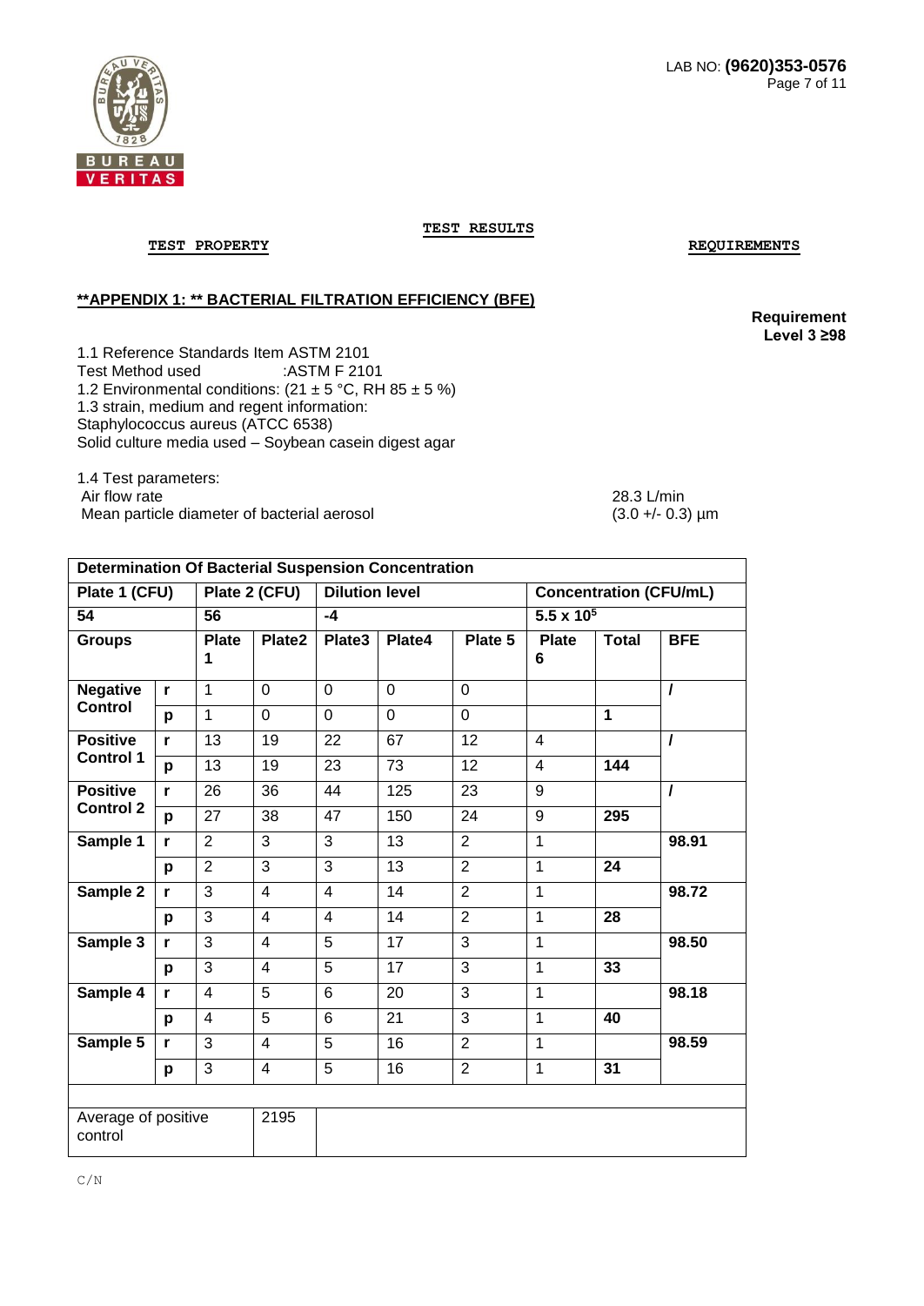

**TEST PROPERTY REQUIREMENTS** 

### **\*\*APPENDIX 1: \*\* BACTERIAL FILTRATION EFFICIENCY (BFE)**

**Requirement Level 3 ≥98**

1.1 Reference Standards Item ASTM 2101<br>Test Method used :ASTM F 2101 Test Method used 1.2 Environmental conditions:  $(21 \pm 5 \degree C, \text{RH } 85 \pm 5 \degree 6)$ 1.3 strain, medium and regent information: Staphylococcus aureus (ATCC 6538) Solid culture media used – Soybean casein digest agar

1.4 Test parameters: Air flow rate 28.3 L/min Mean particle diameter of bacterial aerosol (3.0 +/- 0.3)  $\mu$ m

| <b>Determination Of Bacterial Suspension Concentration</b> |              |                         |                |                         |                |                |                     |                 |                               |
|------------------------------------------------------------|--------------|-------------------------|----------------|-------------------------|----------------|----------------|---------------------|-----------------|-------------------------------|
| Plate 1 (CFU)                                              |              |                         | Plate 2 (CFU)  | <b>Dilution level</b>   |                |                |                     |                 | <b>Concentration (CFU/mL)</b> |
| 54                                                         |              | 56                      |                | $-4$                    |                |                | $5.5 \times 10^{5}$ |                 |                               |
| <b>Groups</b>                                              |              | <b>Plate</b><br>1       | Plate2         | Plate3                  | Plate4         | Plate 5        | <b>Plate</b><br>6   | <b>Total</b>    | <b>BFE</b>                    |
| <b>Negative</b>                                            | $\mathbf{r}$ | $\mathbf{1}$            | $\overline{0}$ | 0                       | $\mathbf 0$    | $\mathbf 0$    |                     |                 | $\overline{I}$                |
| <b>Control</b>                                             | p            | $\overline{1}$          | $\mathbf 0$    | $\overline{0}$          | $\overline{0}$ | $\overline{0}$ |                     | 1               |                               |
| <b>Positive</b>                                            | $\mathbf{r}$ | 13                      | 19             | 22                      | 67             | 12             | $\overline{4}$      |                 | $\prime$                      |
| <b>Control 1</b>                                           | p            | 13                      | 19             | 23                      | 73             | 12             | $\overline{4}$      | 144             |                               |
| <b>Positive</b>                                            | $\mathbf{r}$ | 26                      | 36             | 44                      | 125            | 23             | 9                   |                 | $\prime$                      |
| <b>Control 2</b>                                           | p            | 27                      | 38             | 47                      | 150            | 24             | 9                   | 295             |                               |
| Sample 1                                                   | $\mathbf{r}$ | $\overline{2}$          | 3              | $\overline{3}$          | 13             | $\overline{2}$ | $\mathbf{1}$        |                 | 98.91                         |
|                                                            | p            | $\overline{2}$          | $\overline{3}$ | $\overline{3}$          | 13             | $\overline{2}$ | $\overline{1}$      | 24              |                               |
| Sample 2                                                   | $\mathbf{r}$ | $\overline{3}$          | 4              | $\overline{\mathbf{4}}$ | 14             | $\overline{2}$ | $\mathbf{1}$        |                 | 98.72                         |
|                                                            | p            | 3                       | 4              | $\overline{4}$          | 14             | $\overline{2}$ | $\mathbf{1}$        | 28              |                               |
| Sample 3                                                   | $\mathbf{r}$ | 3                       | $\overline{4}$ | 5                       | 17             | 3              | $\mathbf 1$         |                 | 98.50                         |
|                                                            | p            | 3                       | 4              | $\overline{5}$          | 17             | 3              | 1                   | 33              |                               |
| Sample 4                                                   | $\mathbf{r}$ | $\overline{4}$          | 5              | $6\phantom{1}$          | 20             | 3              | $\mathbf{1}$        |                 | 98.18                         |
|                                                            | p            | $\overline{\mathbf{4}}$ | 5              | 6                       | 21             | 3              | $\overline{1}$      | 40              |                               |
| Sample 5                                                   | $\mathbf{r}$ | 3                       | $\overline{4}$ | 5                       | 16             | $\overline{2}$ | $\mathbf{1}$        |                 | 98.59                         |
|                                                            | p            | 3                       | $\overline{4}$ | 5                       | 16             | $\overline{2}$ | $\mathbf{1}$        | $\overline{31}$ |                               |
|                                                            |              |                         |                |                         |                |                |                     |                 |                               |
| Average of positive<br>control                             |              |                         | 2195           |                         |                |                |                     |                 |                               |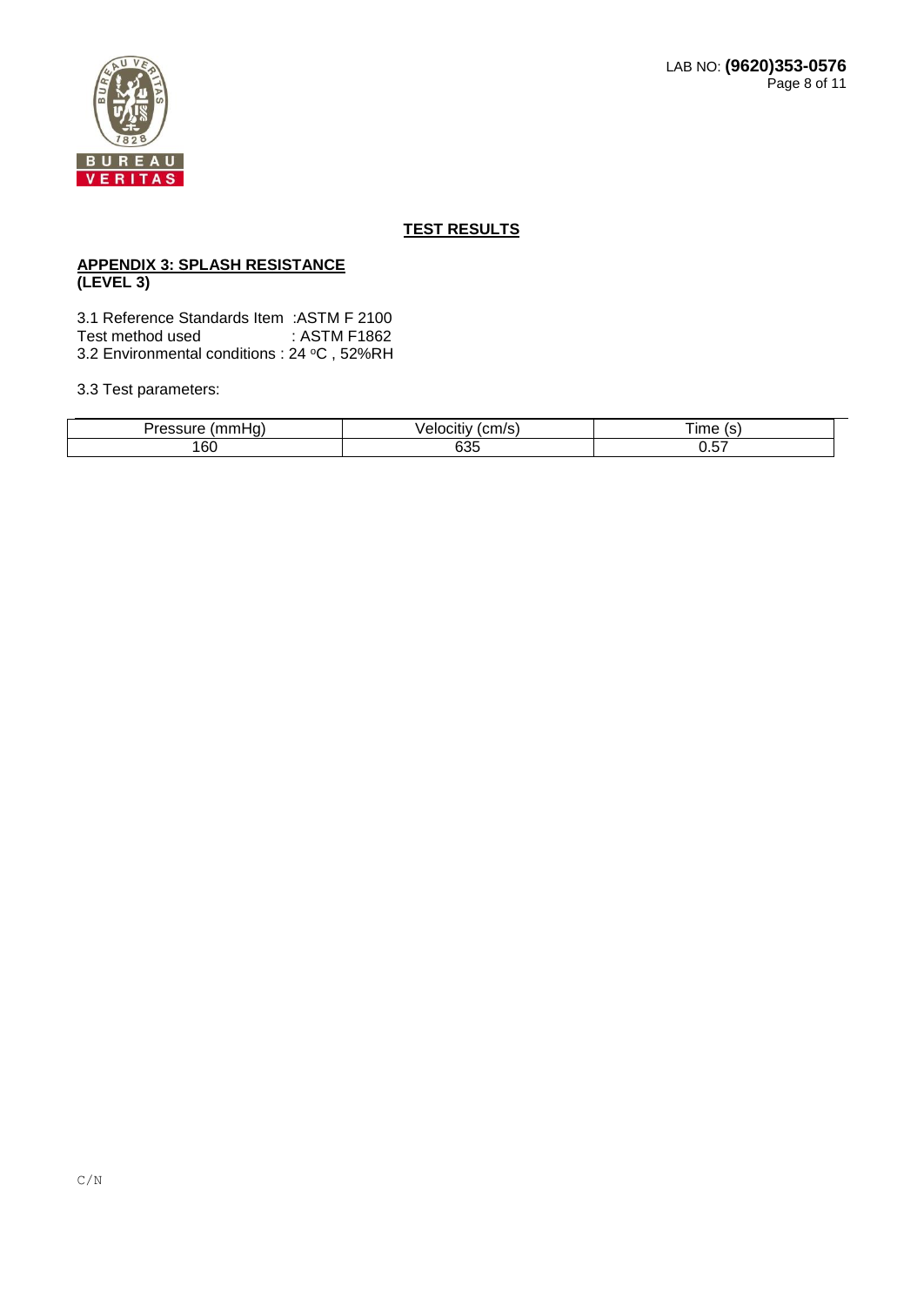# **APPENDIX 3: SPLASH RESISTANCE (LEVEL 3)**

3.1 Reference Standards Item :ASTM F 2100 Test method used 3.2 Environmental conditions : 24 °C, 52%RH

3.3 Test parameters:

| ---<br><b>188.188.1</b> | ---                         | $\sim$<br>ਗਰਦ |
|-------------------------|-----------------------------|---------------|
| 160                     | $\sim$ $\sim$ $\sim$<br>ნაე | ---<br>ບ.ບ⊤   |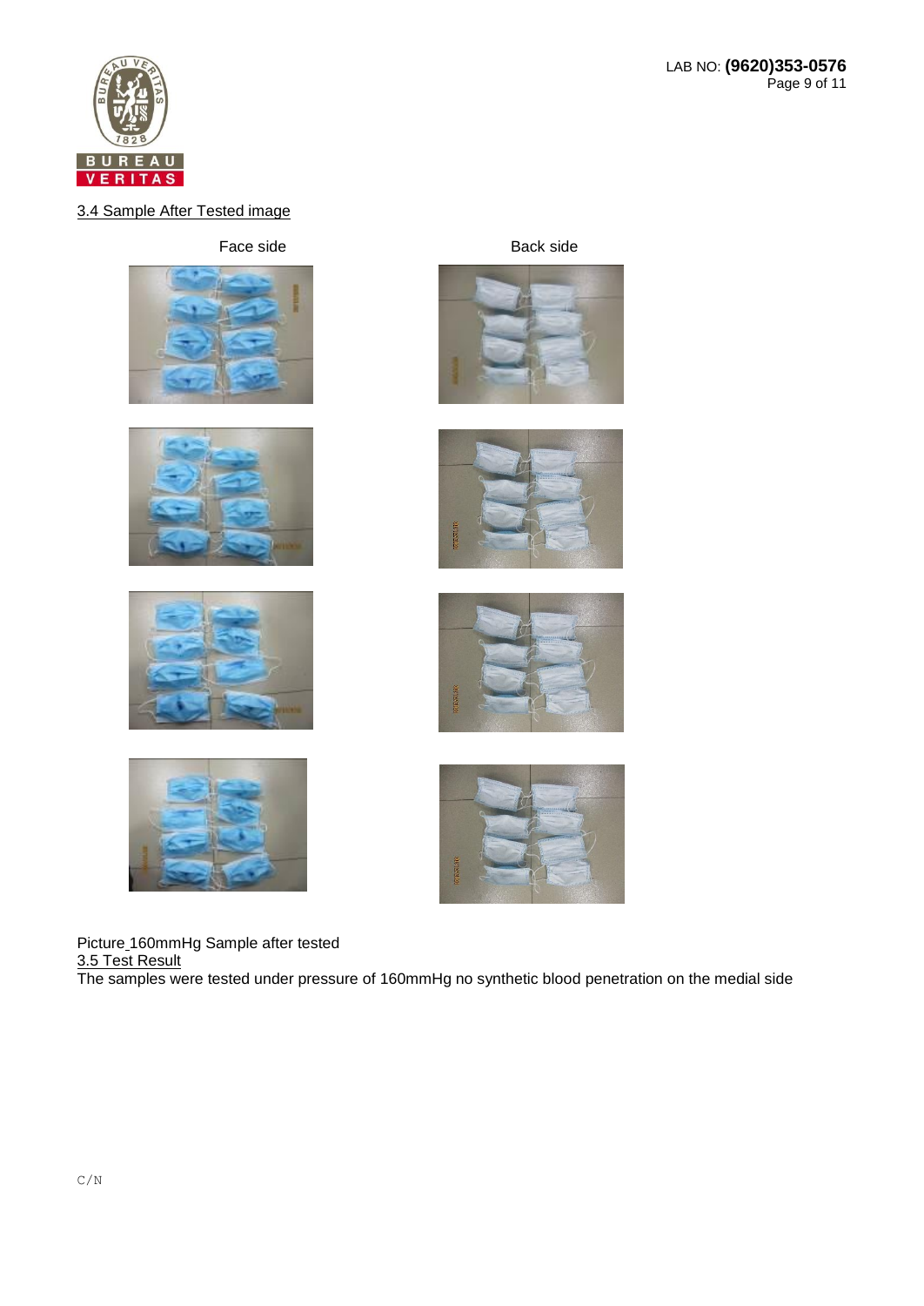

# 3.4 Sample After Tested image

Face side Back side

















Picture 160mmHg Sample after tested 3.5 Test Result The samples were tested under pressure of 160mmHg no synthetic blood penetration on the medial side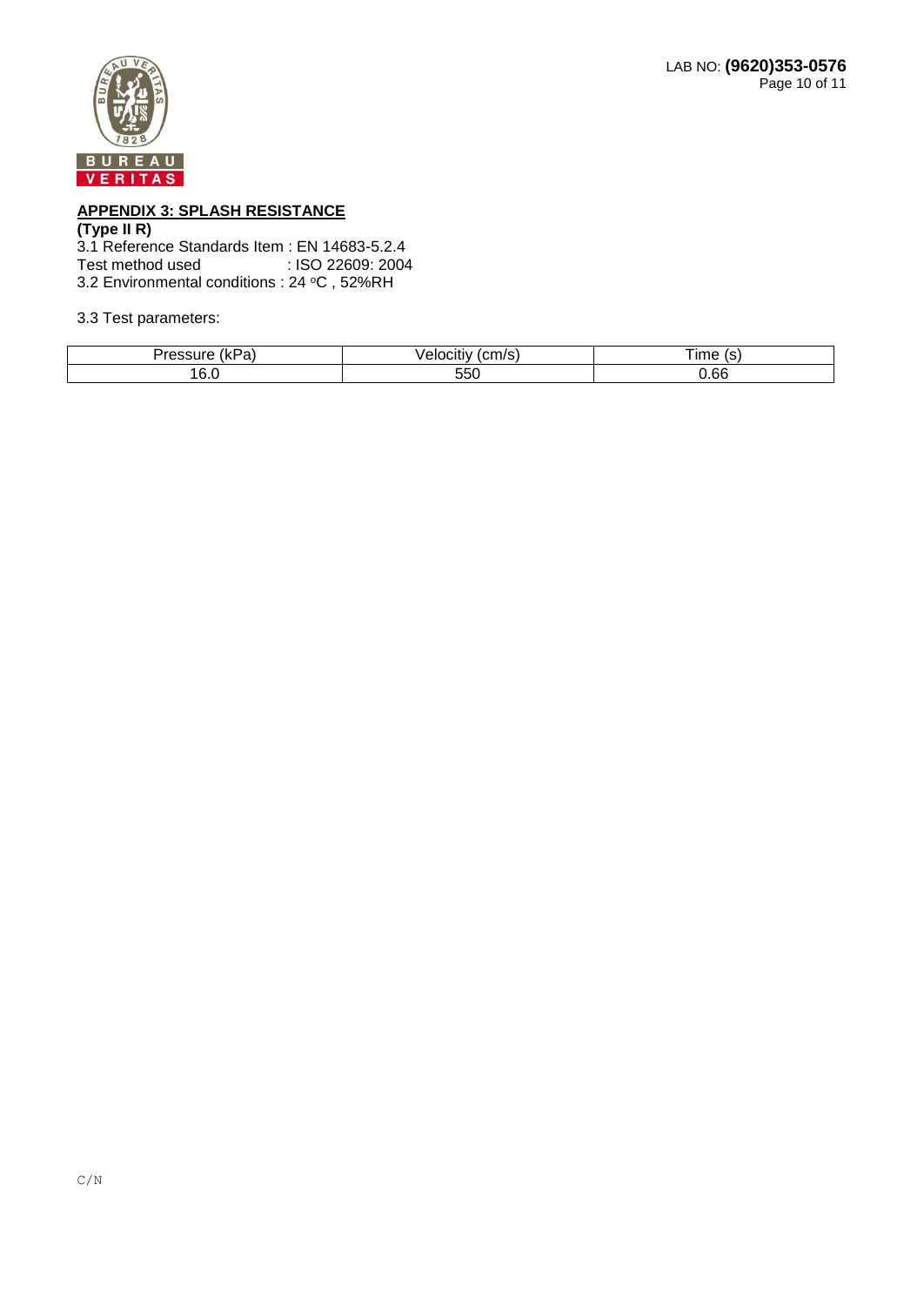

# **APPENDIX 3: SPLASH RESISTANCE**

#### **(Type II R)**

3.1 Reference Standards Item : EN 14683-5.2.4<br>Test method used : ISO 22609: 2004 : ISO 22609: 2004 3.2 Environmental conditions : 24 °C, 52%RH

#### 3.3 Test parameters:

| .<br>$\overline{\phantom{a}}$<br>. . n. .<br>a. |            | $\sim$<br>$\mathsf{Im}\epsilon$ |
|-------------------------------------------------|------------|---------------------------------|
| £<br>v.v                                        | --^<br>υσσ | 0.66                            |